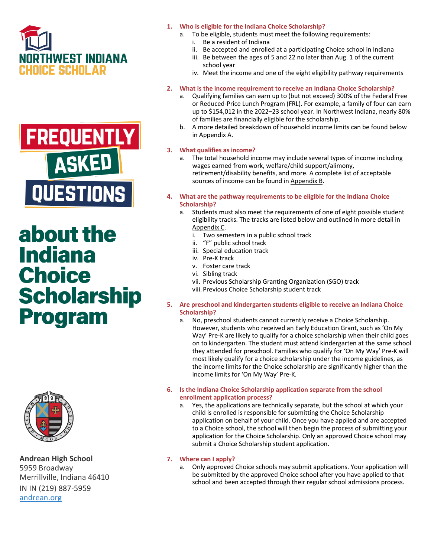



# about the **Indiana Choice Scholarship Program**



**Andrean High School** 5959 Broadway Merrillville, Indiana 46410 IN IN (219) 887-5959 [andrean.org](https://www.andreanhs.org/)

# **1. Who is eligible for the Indiana Choice Scholarship?**

- a. To be eligible, students must meet the following requirements:
	- i. Be a resident of Indiana
	- ii. Be accepted and enrolled at a participating Choice school in Indiana
	- iii. Be between the ages of 5 and 22 no later than Aug. 1 of the current school year
	- iv. Meet the income and one of the eight eligibility pathway requirements

# **2. What is the income requirement to receive an Indiana Choice Scholarship?**

- a. Qualifying families can earn up to (but not exceed) 300% of the Federal Free or Reduced-Price Lunch Program (FRL). For example, a family of four can earn up to \$154,012 in the 2022–23 school year. In Northwest Indiana, nearly 80% of families are financially eligible for the scholarship.
- b. A more detailed breakdown of household income limits can be found below in [Appendix A.](#page-2-0)

# **3. What qualifies as income?**

- a. The total household income may include several types of income including wages earned from work, welfare/child support/alimony, retirement/disability benefits, and more. A complete list of acceptable sources of income can be found in [Appendix B.](#page-2-0)
- **4. What are the pathway requirements to be eligible for the Indiana Choice Scholarship?**
	- a. Students must also meet the requirements of one of eight possible student eligibility tracks. The tracks are listed below and outlined in more detail in [Appendix C.](#page-2-0)
		- i. Two semesters in a public school track
		- ii. "F" public school track
		- iii. Special education track
		- iv. Pre-K track
		- v. Foster care track
		- vi. Sibling track
		- vii. Previous Scholarship Granting Organization (SGO) track
		- viii. Previous Choice Scholarship student track
- **5. Are preschool and kindergarten students eligible to receive an Indiana Choice Scholarship?**
	- a. No, preschool students cannot currently receive a Choice Scholarship. However, students who received an Early Education Grant, such as 'On My Way' Pre-K are likely to qualify for a choice scholarship when their child goes on to kindergarten. The student must attend kindergarten at the same school they attended for preschool. Families who qualify for 'On My Way' Pre-K will most likely qualify for a choice scholarship under the income guidelines, as the income limits for the Choice scholarship are significantly higher than the income limits for 'On My Way' Pre-K.

**6. Is the Indiana Choice Scholarship application separate from the school enrollment application process?** 

a. Yes, the applications are technically separate, but the school at which your child is enrolled is responsible for submitting the Choice Scholarship application on behalf of your child. Once you have applied and are accepted to a Choice school, the school will then begin the process of submitting your application for the Choice Scholarship. Only an approved Choice school may submit a Choice Scholarship student application.

**7. Where can I apply?**

a. Only approved Choice schools may submit applications. Your application will be submitted by the approved Choice school after you have applied to that school and been accepted through their regular school admissions process.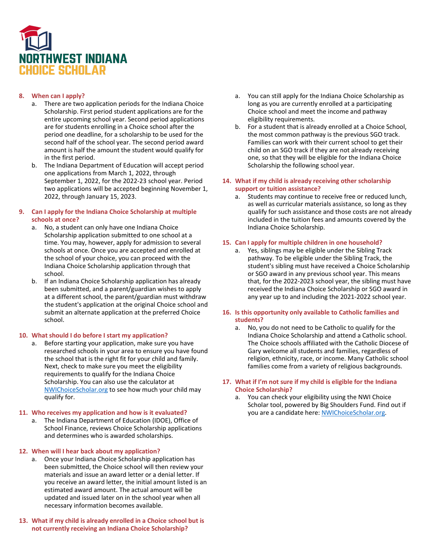

# **8. When can I apply?**

- a. There are two application periods for the Indiana Choice Scholarship. First period student applications are for the entire upcoming school year. Second period applications are for students enrolling in a Choice school after the period one deadline, for a scholarship to be used for the second half of the school year. The second period award amount is half the amount the student would qualify for in the first period.
- b. The Indiana Department of Education will accept period one applications from March 1, 2022, through September 1, 2022, for the 2022-23 school year. Period two applications will be accepted beginning November 1, 2022, through January 15, 2023.

#### **9. Can I apply for the Indiana Choice Scholarship at multiple schools at once?**

- a. No, a student can only have one Indiana Choice Scholarship application submitted to one school at a time. You may, however, apply for admission to several schools at once. Once you are accepted and enrolled at the school of your choice, you can proceed with the Indiana Choice Scholarship application through that school.
- b. If an Indiana Choice Scholarship application has already been submitted, and a parent/guardian wishes to apply at a different school, the parent/guardian must withdraw the student's application at the original Choice school and submit an alternate application at the preferred Choice school.

#### **10. What should I do before I start my application?**

a. Before starting your application, make sure you have researched schools in your area to ensure you have found the school that is the right fit for your child and family. Next, check to make sure you meet the eligibility requirements to qualify for the Indiana Choice Scholarship. You can also use the calculator at [NWIChoiceScholar.org](https://nwichoicescholar.org/) to see how much your child may qualify for.

#### **11. Who receives my application and how is it evaluated?**

a. The Indiana Department of Education (IDOE), Office of School Finance, reviews Choice Scholarship applications and determines who is awarded scholarships.

#### **12. When will I hear back about my application?**

- a. Once your Indiana Choice Scholarship application has been submitted, the Choice school will then review your materials and issue an award letter or a denial letter. If you receive an award letter, the initial amount listed is an estimated award amount. The actual amount will be updated and issued later on in the school year when all necessary information becomes available.
- **13. What if my child is already enrolled in a Choice school but is not currently receiving an Indiana Choice Scholarship?**
- a. You can still apply for the Indiana Choice Scholarship as long as you are currently enrolled at a participating Choice school and meet the income and pathway eligibility requirements.
- b. For a student that is already enrolled at a Choice School, the most common pathway is the previous SGO track. Families can work with their current school to get their child on an SGO track if they are not already receiving one, so that they will be eligible for the Indiana Choice Scholarship the following school year.

#### **14. What if my child is already receiving other scholarship support or tuition assistance?**

a. Students may continue to receive free or reduced lunch, as well as curricular materials assistance, so long as they qualify for such assistance and those costs are not already included in the tuition fees and amounts covered by the Indiana Choice Scholarship.

### **15. Can I apply for multiple children in one household?**

a. Yes, siblings may be eligible under the Sibling Track pathway. To be eligible under the Sibling Track, the student's sibling must have received a Choice Scholarship or SGO award in any previous school year. This means that, for the 2022-2023 school year, the sibling must have received the Indiana Choice Scholarship or SGO award in any year up to and including the 2021-2022 school year.

#### **16. Is this opportunity only available to Catholic families and students?**

a. No, you do not need to be Catholic to qualify for the Indiana Choice Scholarship and attend a Catholic school. The Choice schools affiliated with the Catholic Diocese of Gary welcome all students and families, regardless of religion, ethnicity, race, or income. Many Catholic school families come from a variety of religious backgrounds.

#### **17. What if I'm not sure if my child is eligible for the Indiana Choice Scholarship?**

a. You can check your eligibility using the NWI Choice Scholar tool, powered by Big Shoulders Fund. Find out if you are a candidate here: [NWIChoiceScholar.org.](https://nwichoicescholar.org/)